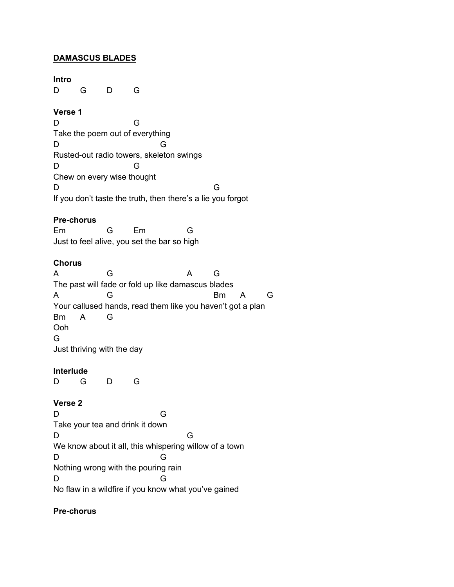## **DAMASCUS BLADES**

#### **Intro**

D G D G

### **Verse 1**

D G Take the poem out of everything D G Rusted-out radio towers, skeleton swings D G Chew on every wise thought D G If you don't taste the truth, then there's a lie you forgot

### **Pre-chorus**

Em G Em G Just to feel alive, you set the bar so high

### **Chorus**

A G A G The past will fade or fold up like damascus blades A G Bm A G Your callused hands, read them like you haven't got a plan Bm A G Ooh G Just thriving with the day

#### **Interlude**

D G D G

## **Verse 2**

D G Take your tea and drink it down D G We know about it all, this whispering willow of a town D G Nothing wrong with the pouring rain D G No flaw in a wildfire if you know what you've gained

## **Pre-chorus**